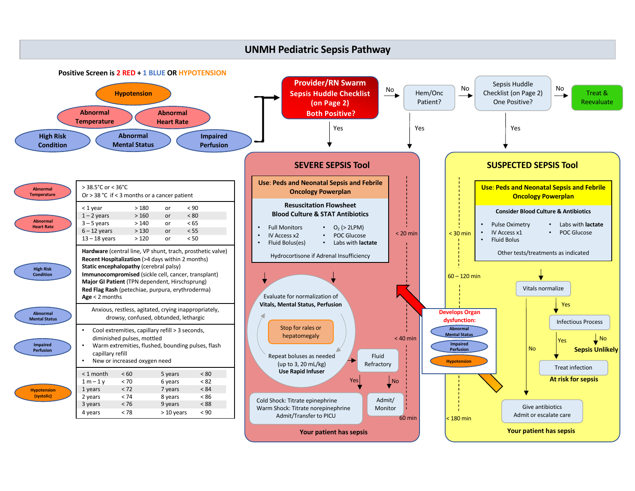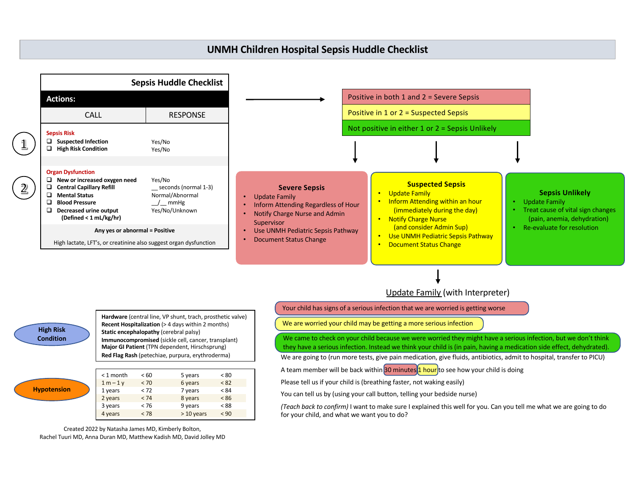## **UNMH Children Hospital Sepsis Huddle Checklist**



**Major GI Patient** (TPN dependent, Hirschsprung) **Red Flag Rash** (petechiae, purpura, erythroderma)

|  | < 1 month   | < 60 | 5 years     | < 80 |  |
|--|-------------|------|-------------|------|--|
|  | $1 m - 1 v$ | < 70 | 6 years     | < 82 |  |
|  | 1 years     | < 72 | 7 years     | < 84 |  |
|  | 2 years     | < 74 | 8 years     | < 86 |  |
|  | 3 years     | < 76 | 9 years     | < 88 |  |
|  | 4 years     | < 78 | $>10$ years | < 90 |  |

Created 2022 by Natasha James MD, Kimberly Bolton, Rachel Tuuri MD, Anna Duran MD, Matthew Kadish MD, David Jolley MD

**Hypotension**

they have a serious infection. Instead we think your child is (in pain, having a medication side effect, dehydrated).

We are going to (run more tests, give pain medication, give fluids, antibiotics, admit to hospital, transfer to PICU)

A team member will be back within 30 minutes 1 hour to see how your child is doing

Please tell us if your child is (breathing faster, not waking easily)

You can tell us by (using your call button, telling your bedside nurse)

*(Teach back to confirm)* I want to make sure I explained this well for you. Can you tell me what we are going to do for your child, and what we want you to do?